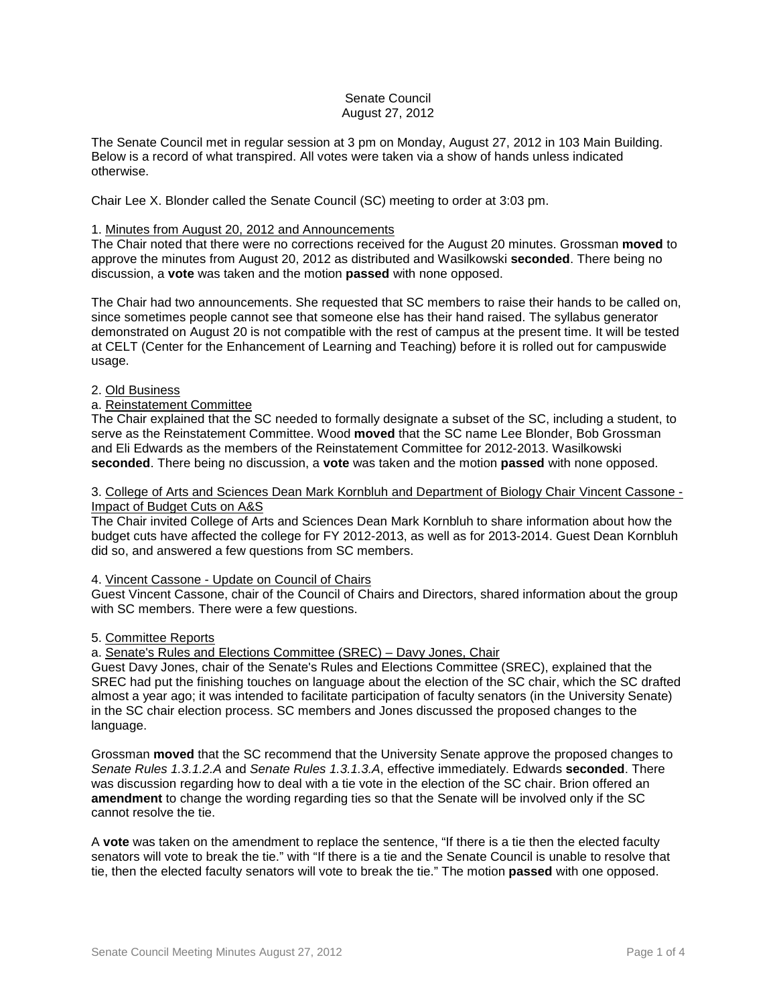## Senate Council August 27, 2012

The Senate Council met in regular session at 3 pm on Monday, August 27, 2012 in 103 Main Building. Below is a record of what transpired. All votes were taken via a show of hands unless indicated otherwise.

Chair Lee X. Blonder called the Senate Council (SC) meeting to order at 3:03 pm.

### 1. Minutes from August 20, 2012 and Announcements

The Chair noted that there were no corrections received for the August 20 minutes. Grossman **moved** to approve the minutes from August 20, 2012 as distributed and Wasilkowski **seconded**. There being no discussion, a **vote** was taken and the motion **passed** with none opposed.

The Chair had two announcements. She requested that SC members to raise their hands to be called on, since sometimes people cannot see that someone else has their hand raised. The syllabus generator demonstrated on August 20 is not compatible with the rest of campus at the present time. It will be tested at CELT (Center for the Enhancement of Learning and Teaching) before it is rolled out for campuswide usage.

### 2. Old Business

## a. Reinstatement Committee

The Chair explained that the SC needed to formally designate a subset of the SC, including a student, to serve as the Reinstatement Committee. Wood **moved** that the SC name Lee Blonder, Bob Grossman and Eli Edwards as the members of the Reinstatement Committee for 2012-2013. Wasilkowski **seconded**. There being no discussion, a **vote** was taken and the motion **passed** with none opposed.

### 3. College of Arts and Sciences Dean Mark Kornbluh and Department of Biology Chair Vincent Cassone - Impact of Budget Cuts on A&S

The Chair invited College of Arts and Sciences Dean Mark Kornbluh to share information about how the budget cuts have affected the college for FY 2012-2013, as well as for 2013-2014. Guest Dean Kornbluh did so, and answered a few questions from SC members.

## 4. Vincent Cassone - Update on Council of Chairs

Guest Vincent Cassone, chair of the Council of Chairs and Directors, shared information about the group with SC members. There were a few questions.

#### 5. Committee Reports

a. Senate's Rules and Elections Committee (SREC) – Davy Jones, Chair

Guest Davy Jones, chair of the Senate's Rules and Elections Committee (SREC), explained that the SREC had put the finishing touches on language about the election of the SC chair, which the SC drafted almost a year ago; it was intended to facilitate participation of faculty senators (in the University Senate) in the SC chair election process. SC members and Jones discussed the proposed changes to the language.

Grossman **moved** that the SC recommend that the University Senate approve the proposed changes to *Senate Rules 1.3.1.2.A* and *Senate Rules 1.3.1.3.A*, effective immediately. Edwards **seconded**. There was discussion regarding how to deal with a tie vote in the election of the SC chair. Brion offered an **amendment** to change the wording regarding ties so that the Senate will be involved only if the SC cannot resolve the tie.

A **vote** was taken on the amendment to replace the sentence, "If there is a tie then the elected faculty senators will vote to break the tie." with "If there is a tie and the Senate Council is unable to resolve that tie, then the elected faculty senators will vote to break the tie." The motion **passed** with one opposed.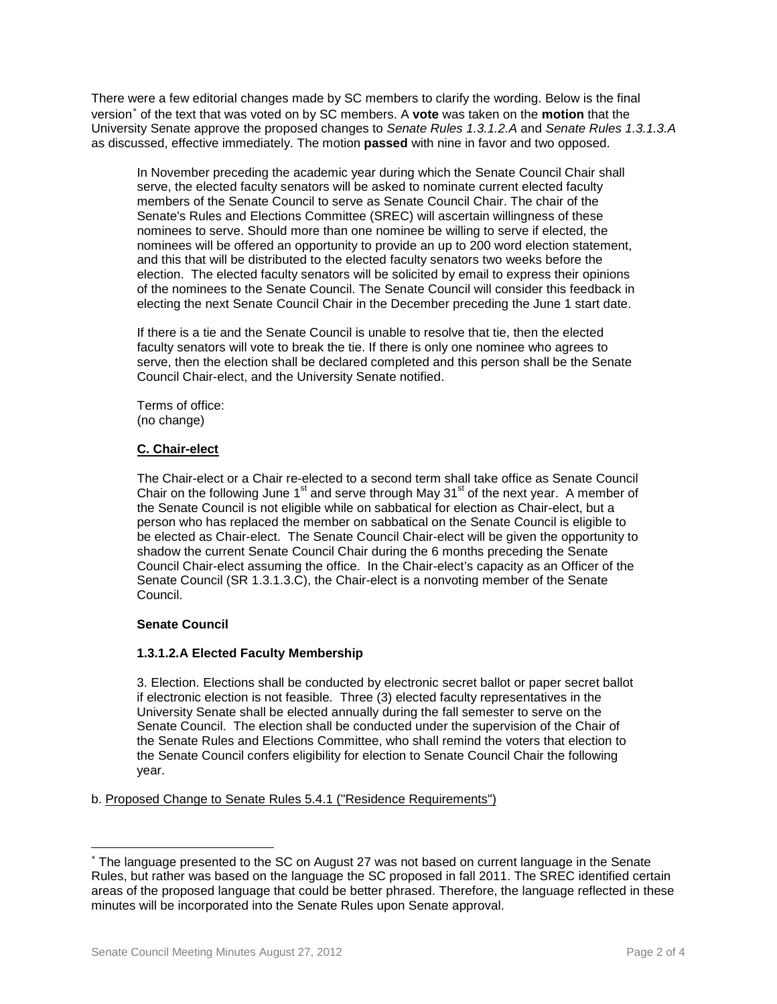There were a few editorial changes made by SC members to clarify the wording. Below is the final version[∗](#page-1-0) of the text that was voted on by SC members. A **vote** was taken on the **motion** that the University Senate approve the proposed changes to *Senate Rules 1.3.1.2.A* and *Senate Rules 1.3.1.3.A* as discussed, effective immediately. The motion **passed** with nine in favor and two opposed.

In November preceding the academic year during which the Senate Council Chair shall serve, the elected faculty senators will be asked to nominate current elected faculty members of the Senate Council to serve as Senate Council Chair. The chair of the Senate's Rules and Elections Committee (SREC) will ascertain willingness of these nominees to serve. Should more than one nominee be willing to serve if elected, the nominees will be offered an opportunity to provide an up to 200 word election statement, and this that will be distributed to the elected faculty senators two weeks before the election. The elected faculty senators will be solicited by email to express their opinions of the nominees to the Senate Council. The Senate Council will consider this feedback in electing the next Senate Council Chair in the December preceding the June 1 start date.

If there is a tie and the Senate Council is unable to resolve that tie, then the elected faculty senators will vote to break the tie. If there is only one nominee who agrees to serve, then the election shall be declared completed and this person shall be the Senate Council Chair-elect, and the University Senate notified.

Terms of office: (no change)

# **C. Chair-elect**

The Chair-elect or a Chair re-elected to a second term shall take office as Senate Council Chair on the following June  $1<sup>st</sup>$  and serve through May 31 $<sup>st</sup>$  of the next year. A member of</sup> the Senate Council is not eligible while on sabbatical for election as Chair-elect, but a person who has replaced the member on sabbatical on the Senate Council is eligible to be elected as Chair-elect. The Senate Council Chair-elect will be given the opportunity to shadow the current Senate Council Chair during the 6 months preceding the Senate Council Chair-elect assuming the office. In the Chair-elect's capacity as an Officer of the Senate Council (SR 1.3.1.3.C), the Chair-elect is a nonvoting member of the Senate Council.

# **Senate Council**

# **1.3.1.2.A Elected Faculty Membership**

3. Election. Elections shall be conducted by electronic secret ballot or paper secret ballot if electronic election is not feasible. Three (3) elected faculty representatives in the University Senate shall be elected annually during the fall semester to serve on the Senate Council. The election shall be conducted under the supervision of the Chair of the Senate Rules and Elections Committee, who shall remind the voters that election to the Senate Council confers eligibility for election to Senate Council Chair the following year.

b. Proposed Change to Senate Rules 5.4.1 ("Residence Requirements")

<span id="page-1-0"></span><sup>∗</sup> The language presented to the SC on August 27 was not based on current language in the Senate Rules, but rather was based on the language the SC proposed in fall 2011. The SREC identified certain areas of the proposed language that could be better phrased. Therefore, the language reflected in these minutes will be incorporated into the Senate Rules upon Senate approval.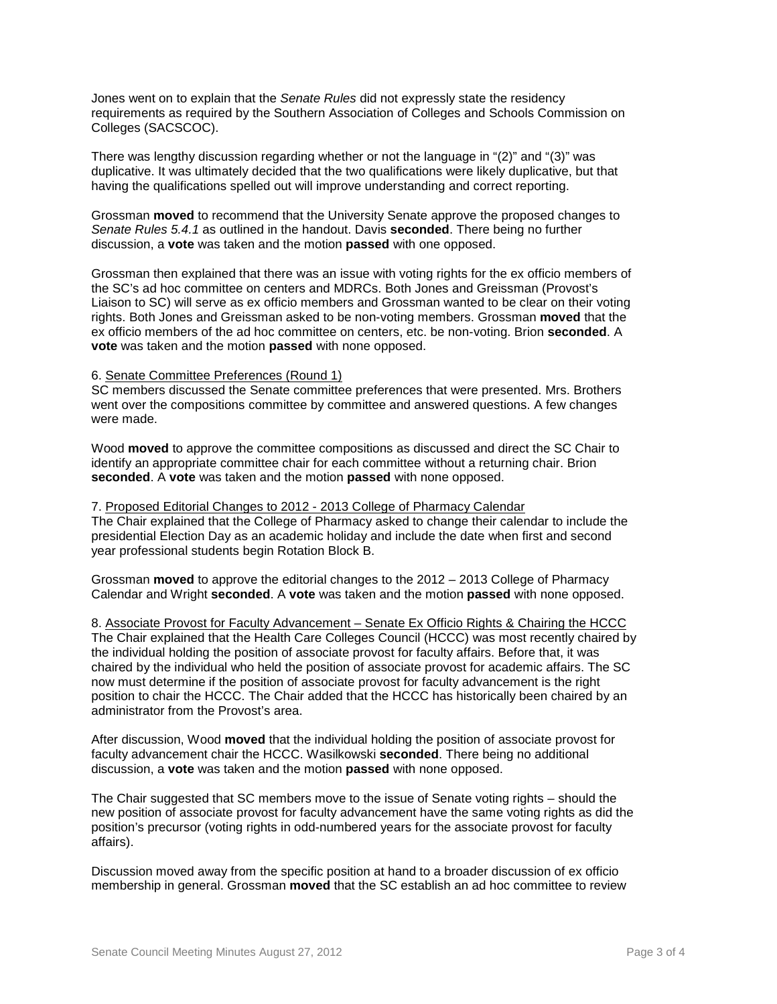Jones went on to explain that the *Senate Rules* did not expressly state the residency requirements as required by the Southern Association of Colleges and Schools Commission on Colleges (SACSCOC).

There was lengthy discussion regarding whether or not the language in "(2)" and "(3)" was duplicative. It was ultimately decided that the two qualifications were likely duplicative, but that having the qualifications spelled out will improve understanding and correct reporting.

Grossman **moved** to recommend that the University Senate approve the proposed changes to *Senate Rules 5.4.1* as outlined in the handout. Davis **seconded**. There being no further discussion, a **vote** was taken and the motion **passed** with one opposed.

Grossman then explained that there was an issue with voting rights for the ex officio members of the SC's ad hoc committee on centers and MDRCs. Both Jones and Greissman (Provost's Liaison to SC) will serve as ex officio members and Grossman wanted to be clear on their voting rights. Both Jones and Greissman asked to be non-voting members. Grossman **moved** that the ex officio members of the ad hoc committee on centers, etc. be non-voting. Brion **seconded**. A **vote** was taken and the motion **passed** with none opposed.

## 6. Senate Committee Preferences (Round 1)

SC members discussed the Senate committee preferences that were presented. Mrs. Brothers went over the compositions committee by committee and answered questions. A few changes were made.

Wood **moved** to approve the committee compositions as discussed and direct the SC Chair to identify an appropriate committee chair for each committee without a returning chair. Brion **seconded**. A **vote** was taken and the motion **passed** with none opposed.

7. Proposed Editorial Changes to 2012 - 2013 College of Pharmacy Calendar The Chair explained that the College of Pharmacy asked to change their calendar to include the presidential Election Day as an academic holiday and include the date when first and second year professional students begin Rotation Block B.

Grossman **moved** to approve the editorial changes to the 2012 – 2013 College of Pharmacy Calendar and Wright **seconded**. A **vote** was taken and the motion **passed** with none opposed.

8. Associate Provost for Faculty Advancement – Senate Ex Officio Rights & Chairing the HCCC The Chair explained that the Health Care Colleges Council (HCCC) was most recently chaired by the individual holding the position of associate provost for faculty affairs. Before that, it was chaired by the individual who held the position of associate provost for academic affairs. The SC now must determine if the position of associate provost for faculty advancement is the right position to chair the HCCC. The Chair added that the HCCC has historically been chaired by an administrator from the Provost's area.

After discussion, Wood **moved** that the individual holding the position of associate provost for faculty advancement chair the HCCC. Wasilkowski **seconded**. There being no additional discussion, a **vote** was taken and the motion **passed** with none opposed.

The Chair suggested that SC members move to the issue of Senate voting rights – should the new position of associate provost for faculty advancement have the same voting rights as did the position's precursor (voting rights in odd-numbered years for the associate provost for faculty affairs).

Discussion moved away from the specific position at hand to a broader discussion of ex officio membership in general. Grossman **moved** that the SC establish an ad hoc committee to review